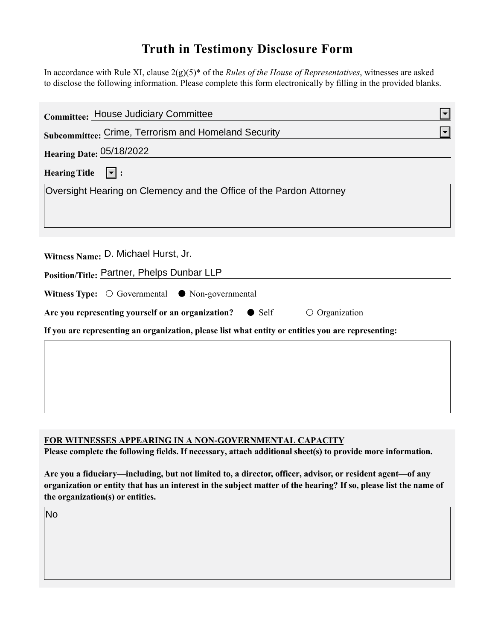## **Truth in Testimony Disclosure Form**

In accordance with Rule XI, clause 2(g)(5)\* of the *Rules of the House of Representatives*, witnesses are asked to disclose the following information. Please complete this form electronically by filling in the provided blanks.

| <b>Committee: House Judiciary Committee</b>                                                        | $\left  \mathbf{v} \right $ |
|----------------------------------------------------------------------------------------------------|-----------------------------|
| Subcommittee: Crime, Terrorism and Homeland Security                                               |                             |
| <b>Hearing Date: 05/18/2022</b>                                                                    |                             |
| Hearing Title $ \mathbf{v} $ :                                                                     |                             |
| Oversight Hearing on Clemency and the Office of the Pardon Attorney                                |                             |
|                                                                                                    |                             |
|                                                                                                    |                             |
| Witness Name: D. Michael Hurst, Jr.                                                                |                             |
| Position/Title: Partner, Phelps Dunbar LLP                                                         |                             |
| Witness Type: $\bigcirc$ Governmental $\bullet$ Non-governmental                                   |                             |
| Are you representing yourself or an organization? • Self<br>$\circ$ Organization                   |                             |
| If you are representing an organization, please list what entity or entities you are representing: |                             |
|                                                                                                    |                             |
|                                                                                                    |                             |
|                                                                                                    |                             |
|                                                                                                    |                             |

## **FOR WITNESSES APPEARING IN A NON-GOVERNMENTAL CAPACITY**

**Please complete the following fields. If necessary, attach additional sheet(s) to provide more information.**

**Are you a fiduciary—including, but not limited to, a director, officer, advisor, or resident agent—of any organization or entity that has an interest in the subject matter of the hearing? If so, please list the name of the organization(s) or entities.**

No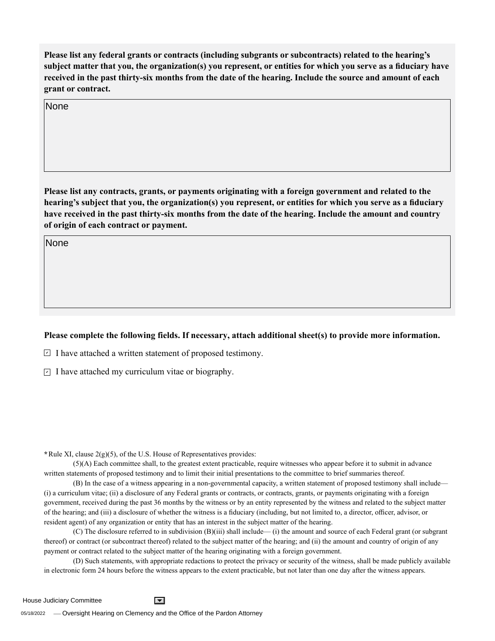**Please list any federal grants or contracts (including subgrants or subcontracts) related to the hearing's subject matter that you, the organization(s) you represent, or entities for which you serve as a fiduciary have received in the past thirty-six months from the date of the hearing. Include the source and amount of each grant or contract.** 

None

**Please list any contracts, grants, or payments originating with a foreign government and related to the hearing's subject that you, the organization(s) you represent, or entities for which you serve as a fiduciary have received in the past thirty-six months from the date of the hearing. Include the amount and country of origin of each contract or payment.** 

None

## **Please complete the following fields. If necessary, attach additional sheet(s) to provide more information.**

 $\exists$  I have attached a written statement of proposed testimony.

 $\subseteq$  I have attached my curriculum vitae or biography.

**\***Rule XI, clause 2(g)(5), of the U.S. House of Representatives provides:

(5)(A) Each committee shall, to the greatest extent practicable, require witnesses who appear before it to submit in advance written statements of proposed testimony and to limit their initial presentations to the committee to brief summaries thereof.

(B) In the case of a witness appearing in a non-governmental capacity, a written statement of proposed testimony shall include— (i) a curriculum vitae; (ii) a disclosure of any Federal grants or contracts, or contracts, grants, or payments originating with a foreign government, received during the past 36 months by the witness or by an entity represented by the witness and related to the subject matter of the hearing; and (iii) a disclosure of whether the witness is a fiduciary (including, but not limited to, a director, officer, advisor, or resident agent) of any organization or entity that has an interest in the subject matter of the hearing.

(C) The disclosure referred to in subdivision (B)(iii) shall include— (i) the amount and source of each Federal grant (or subgrant thereof) or contract (or subcontract thereof) related to the subject matter of the hearing; and (ii) the amount and country of origin of any payment or contract related to the subject matter of the hearing originating with a foreign government.

(D) Such statements, with appropriate redactions to protect the privacy or security of the witness, shall be made publicly available in electronic form 24 hours before the witness appears to the extent practicable, but not later than one day after the witness appears.